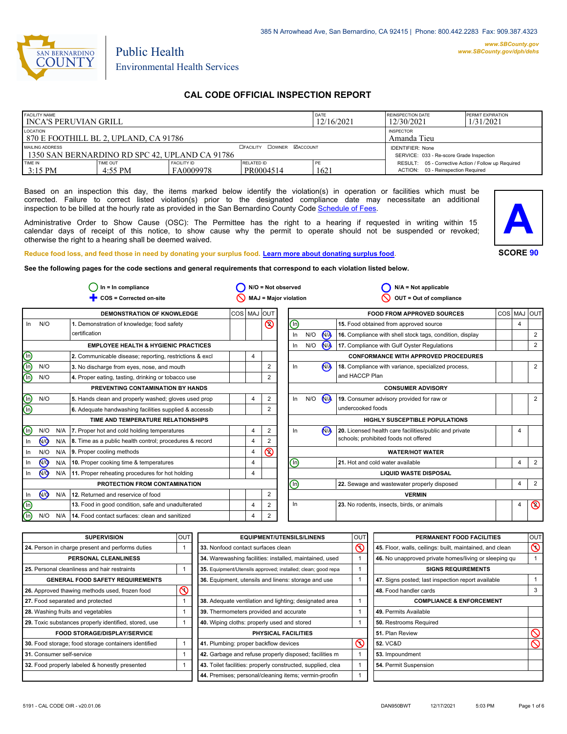

# Public Health Environmental Health Services

## **CAL CODE OFFICIAL INSPECTION REPORT**

| <b>FACILITY NAME</b><br>I INCA'S PERUVIAN GRILL                   |                     |                                                                     |                         | DATE<br>12/16/2021 | REINSPECTION DATE<br>12/30/2021                                                              | <b>PERMIT EXPIRATION</b><br>1/31/2021 |
|-------------------------------------------------------------------|---------------------|---------------------------------------------------------------------|-------------------------|--------------------|----------------------------------------------------------------------------------------------|---------------------------------------|
| LOCATION<br>870 E FOOTHILL BL 2, UPLAND, CA 91786                 |                     | <b>INSPECTOR</b><br>Amanda Tieu                                     |                         |                    |                                                                                              |                                       |
| MAILING ADDRESS<br>1350 SAN BERNARDINO RD SPC 42. UPLAND CA 91786 |                     | <b>IDENTIFIER: None</b><br>SERVICE: 033 - Re-score Grade Inspection |                         |                    |                                                                                              |                                       |
| TIME IN<br>$3:15$ PM                                              | TIME OUT<br>4:55 PM | <b>FACILITY ID</b><br>FA0009978                                     | RELATED ID<br>PR0004514 | PE<br>162.         | RESULT: 05 - Corrective Action / Follow up Required<br>03 - Reinspection Required<br>ACTION: |                                       |

Based on an inspection this day, the items marked below identify the violation(s) in operation or facilities which must be corrected. Failure to correct listed violation(s) prior to the designated compliance date may necessitate an additional inspection to be billed at the hourly rate as provided in the San Bernardino County Co[de Schedule of Fees.](https://codelibrary.amlegal.com/codes/sanbernardino/latest/sanberncty_ca/0-0-0-122474#JD_16.0213B)

Administrative Order to Show Cause (OSC): The Permittee has the right to a hearing if requested in writing within 15 calendar days of receipt of this notice, to show cause why the permit to operate should not be suspended or revoked; otherwise the right to a hearing shall be deemed waived.



#### **Reduce food loss, and feed those in need by donating your surplus f[ood. Learn more about donating surplus food.](https://wp.sbcounty.gov/dph/programs/ehs/charitable-food-service/)**

**See the following pages for the code sections and general requirements that correspond to each violation listed below.**

| $In = In$ compliance           |                |     | $N/O = Not observed$                                    |                | $N/A = Not applicable$ |                           |                                |                          |                |                                                          |  |                |                |
|--------------------------------|----------------|-----|---------------------------------------------------------|----------------|------------------------|---------------------------|--------------------------------|--------------------------|----------------|----------------------------------------------------------|--|----------------|----------------|
|                                |                |     | COS = Corrected on-site                                 |                |                        |                           | MAJ = Major violation          |                          |                | OUT = Out of compliance                                  |  |                |                |
|                                |                |     | <b>DEMONSTRATION OF KNOWLEDGE</b>                       | COS   MAJ  OUT |                        |                           |                                |                          |                | <b>FOOD FROM APPROVED SOURCES</b>                        |  | COS MAJ        | lout           |
| In                             | N/O            |     | 1. Demonstration of knowledge; food safety              |                |                        | $\circledcirc$            | ⊕                              |                          |                | 15. Food obtained from approved source                   |  | $\overline{4}$ |                |
|                                |                |     | certification                                           |                |                        |                           | In                             | N/O                      | N <sub>A</sub> | 16. Compliance with shell stock tags, condition, display |  |                | 2              |
|                                |                |     | <b>EMPLOYEE HEALTH &amp; HYGIENIC PRACTICES</b>         |                |                        |                           | In.                            | N/O                      | N/A            | 17. Compliance with Gulf Oyster Regulations              |  |                | $\overline{2}$ |
| $\circledcirc$                 |                |     | 2. Communicable disease; reporting, restrictions & excl |                | 4                      |                           |                                |                          |                | <b>CONFORMANCE WITH APPROVED PROCEDURES</b>              |  |                |                |
| டு                             | N/O            |     | 3. No discharge from eyes, nose, and mouth              |                |                        | $\overline{2}$            | In.                            |                          | N              | 18. Compliance with variance, specialized process,       |  |                | $\overline{2}$ |
| $\overline{\mathbb{D}}$        | N/O            |     | 4. Proper eating, tasting, drinking or tobacco use      |                |                        | 2                         |                                |                          |                | and HACCP Plan                                           |  |                |                |
|                                |                |     | PREVENTING CONTAMINATION BY HANDS                       |                |                        |                           |                                | <b>CONSUMER ADVISORY</b> |                |                                                          |  |                |                |
| $\overline{\mathbb{O}}$        | N/O            |     | 5. Hands clean and properly washed; gloves used prop    |                | 4                      | 2                         | In.                            | N/O                      | $N_A$          | 19. Consumer advisory provided for raw or                |  |                | $\overline{2}$ |
| ⊕                              |                |     | 6. Adequate handwashing facilities supplied & accessib  |                |                        | 2                         |                                |                          |                | undercooked foods                                        |  |                |                |
|                                |                |     | TIME AND TEMPERATURE RELATIONSHIPS                      |                |                        |                           | HIGHLY SUSCEPTIBLE POPULATIONS |                          |                |                                                          |  |                |                |
| ⋒                              | N/O            | N/A | 7. Proper hot and cold holding temperatures             |                | 4                      | $\overline{2}$            | In.                            |                          | $\bigwedge$    | 20. Licensed health care facilities/public and private   |  | 4              |                |
| In                             | $\sqrt{9}$     | N/A | 8. Time as a public health control; procedures & record |                | 4                      | $\overline{2}$            |                                |                          |                | schools; prohibited foods not offered                    |  |                |                |
| In                             | N/O            | N/A | 9. Proper cooling methods                               |                | 4                      | $\pmb{\circlearrowright}$ |                                |                          |                | <b>WATER/HOT WATER</b>                                   |  |                |                |
| In                             | $\overline{M}$ | N/A | 10. Proper cooking time & temperatures                  |                | 4                      |                           | ⊕                              |                          |                | 21. Hot and cold water available                         |  | $\overline{4}$ | 2              |
| In                             | $\sqrt{9}$     | N/A | 11. Proper reheating procedures for hot holding         |                | 4                      |                           | <b>LIQUID WASTE DISPOSAL</b>   |                          |                |                                                          |  |                |                |
|                                |                |     | PROTECTION FROM CONTAMINATION                           |                |                        |                           | ⊕                              |                          |                | 22. Sewage and wastewater properly disposed              |  | $\overline{4}$ | $\overline{2}$ |
| In                             | $\sqrt{9}$     | N/A | 12. Returned and reservice of food                      |                |                        | $\overline{2}$            |                                |                          |                | <b>VERMIN</b>                                            |  |                |                |
| $\textcircled{\scriptsize{n}}$ |                |     | 13. Food in good condition, safe and unadulterated      |                | 4                      | $\overline{2}$            | In.                            |                          |                | 23. No rodents, insects, birds, or animals               |  | $\overline{4}$ | $\circledcirc$ |
| $\overline{\mathbb{n}}$        | N/O            | N/A | 14. Food contact surfaces: clean and sanitized          |                | 4                      | 2                         |                                |                          |                |                                                          |  |                |                |

| <b>SUPERVISION</b>                                    | <b>OUT</b> | <b>EQUIPMENT/UTENSILS/LINENS</b>                             | <b>OUT</b> | PERMANENT FOOD FACILITIES                                | <b>OUT</b>     |
|-------------------------------------------------------|------------|--------------------------------------------------------------|------------|----------------------------------------------------------|----------------|
| 24. Person in charge present and performs duties      |            | 33. Nonfood contact surfaces clean                           | $\infty$   | 45. Floor, walls, ceilings: built, maintained, and clean | $\circledcirc$ |
| PERSONAL CLEANLINESS                                  |            | 34. Warewashing facilities: installed, maintained, used      |            | 46. No unapproved private homes/living or sleeping qu    |                |
| 25. Personal cleanliness and hair restraints          |            | 35. Equipment/Utensils approved; installed; clean; good repa |            | <b>SIGNS REQUIREMENTS</b>                                |                |
| <b>GENERAL FOOD SAFETY REQUIREMENTS</b>               |            | 36. Equipment, utensils and linens: storage and use          |            | 47. Signs posted; last inspection report available       |                |
| 26. Approved thawing methods used, frozen food        | $\infty$   |                                                              |            | 48. Food handler cards                                   |                |
| 27. Food separated and protected                      |            | 38. Adequate ventilation and lighting; designated area       |            | <b>COMPLIANCE &amp; ENFORCEMENT</b>                      |                |
| 28. Washing fruits and vegetables                     |            | 39. Thermometers provided and accurate                       |            | 49. Permits Available                                    |                |
| 29. Toxic substances properly identified, stored, use |            | 40. Wiping cloths: properly used and stored                  |            | 50. Restrooms Required                                   |                |
| <b>FOOD STORAGE/DISPLAY/SERVICE</b>                   |            | PHYSICAL FACILITIES                                          |            | 51. Plan Review                                          |                |
| 30. Food storage; food storage containers identified  |            | 41. Plumbing: proper backflow devices                        | $\infty$   | <b>52. VC&amp;D</b>                                      |                |
| 31. Consumer self-service                             |            | 42. Garbage and refuse properly disposed; facilities m       |            | 53. Impoundment                                          |                |
| 32. Food properly labeled & honestly presented        |            | 43. Toilet facilities: properly constructed, supplied, clea  |            | 54. Permit Suspension                                    |                |
|                                                       |            | 44. Premises; personal/cleaning items; vermin-proofin        |            |                                                          |                |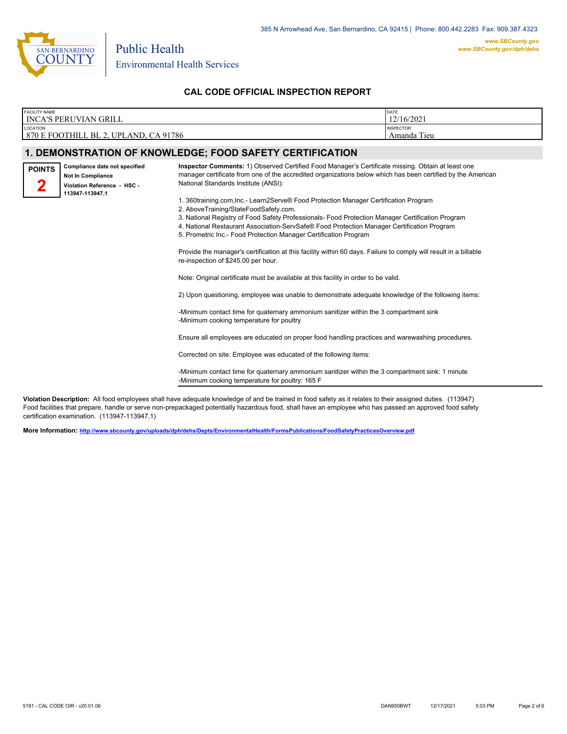

## **CAL CODE OFFICIAL INSPECTION REPORT**

| <b>FACILITY NAME</b><br><b>INCA'S PERUVIAN GRILL</b> |                                                                                                             | DATE<br>12/16/2021                                                                                                                                                                                                                                                                                                                                                                                                                                                                                                                                                                                                                                                                                                                                                                                                                                                                                                                                                                                                                                                                                                                                                                                                                                                                                                                                                                                                                                                                       |                                 |
|------------------------------------------------------|-------------------------------------------------------------------------------------------------------------|------------------------------------------------------------------------------------------------------------------------------------------------------------------------------------------------------------------------------------------------------------------------------------------------------------------------------------------------------------------------------------------------------------------------------------------------------------------------------------------------------------------------------------------------------------------------------------------------------------------------------------------------------------------------------------------------------------------------------------------------------------------------------------------------------------------------------------------------------------------------------------------------------------------------------------------------------------------------------------------------------------------------------------------------------------------------------------------------------------------------------------------------------------------------------------------------------------------------------------------------------------------------------------------------------------------------------------------------------------------------------------------------------------------------------------------------------------------------------------------|---------------------------------|
| LOCATION                                             | 870 E FOOTHILL BL 2, UPLAND, CA 91786                                                                       |                                                                                                                                                                                                                                                                                                                                                                                                                                                                                                                                                                                                                                                                                                                                                                                                                                                                                                                                                                                                                                                                                                                                                                                                                                                                                                                                                                                                                                                                                          | <b>INSPECTOR</b><br>Amanda Tieu |
|                                                      |                                                                                                             | 1. DEMONSTRATION OF KNOWLEDGE; FOOD SAFETY CERTIFICATION                                                                                                                                                                                                                                                                                                                                                                                                                                                                                                                                                                                                                                                                                                                                                                                                                                                                                                                                                                                                                                                                                                                                                                                                                                                                                                                                                                                                                                 |                                 |
| <b>POINTS</b>                                        | Compliance date not specified<br><b>Not In Compliance</b><br>Violation Reference - HSC -<br>113947-113947.1 | Inspector Comments: 1) Observed Certified Food Manager's Certificate missing. Obtain at least one<br>manager certificate from one of the accredited organizations below which has been certified by the American<br>National Standards Institute (ANSI):<br>1. 360training.com.Inc.- Learn2Serve® Food Protection Manager Certification Program<br>2. AboveTraining/StateFoodSafety.com.<br>3. National Registry of Food Safety Professionals- Food Protection Manager Certification Program<br>4. National Restaurant Association-ServSafe® Food Protection Manager Certification Program<br>5. Prometric Inc.- Food Protection Manager Certification Program<br>Provide the manager's certification at this facility within 60 days. Failure to comply will result in a billable<br>re-inspection of \$245.00 per hour.<br>Note: Original certificate must be available at this facility in order to be valid.<br>2) Upon questioning, employee was unable to demonstrate adequate knowledge of the following items:<br>-Minimum contact time for quaternary ammonium sanitizer within the 3 compartment sink<br>-Minimum cooking temperature for poultry<br>Ensure all employees are educated on proper food handling practices and warewashing procedures.<br>Corrected on site: Employee was educated of the following items:<br>-Minimum contact time for quaternary ammonium sanitizer within the 3 compartment sink: 1 minute<br>-Minimum cooking temperature for poultry: 165 F |                                 |

**Violation Description:** All food employees shall have adequate knowledge of and be trained in food safety as it relates to their assigned duties. (113947) Food facilities that prepare, handle or serve non-prepackaged potentially hazardous food, shall have an employee who has passed an approved food safety certification examination. (113947-113947.1)

**More Information: <http://www.sbcounty.gov/uploads/dph/dehs/Depts/EnvironmentalHealth/FormsPublications/FoodSafetyPracticesOverview.pdf>**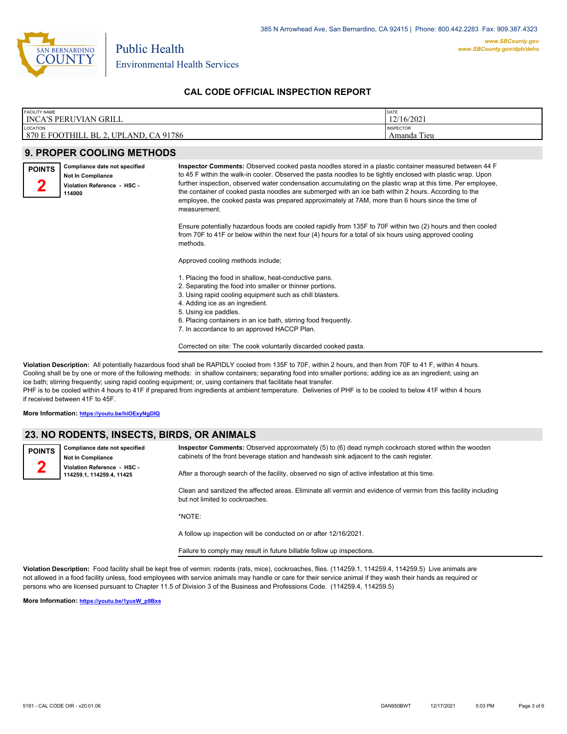

## **CAL CODE OFFICIAL INSPECTION REPORT**

| <b>FACILITY NAME</b>         | DATE             |
|------------------------------|------------------|
| <b>INCA'S PERUVIAN GRILL</b> | 12/16/2021       |
| LOCATION                     | <b>INSPECTOR</b> |
| 870 E FOOTHILL BL 2.         | Tieu             |
| , UPLAND, CA 91786           | Amanda           |

## **9. PROPER COOLING METHODS**

Public Health

| <b>POINTS</b> | Compliance date not specified<br><b>Not In Compliance</b><br>Violation Reference - HSC -<br>114000 | <b>Inspector Comments:</b> Observed cooked pasta noodles stored in a plastic container measured between 44 F<br>to 45 F within the walk-in cooler. Observed the pasta noodles to be tightly enclosed with plastic wrap. Upon<br>further inspection, observed water condensation accumulating on the plastic wrap at this time. Per employee,<br>the container of cooked pasta noodles are submerged with an ice bath within 2 hours. According to the<br>employee, the cooked pasta was prepared approximately at 7AM, more than 6 hours since the time of<br>measurement. |
|---------------|----------------------------------------------------------------------------------------------------|----------------------------------------------------------------------------------------------------------------------------------------------------------------------------------------------------------------------------------------------------------------------------------------------------------------------------------------------------------------------------------------------------------------------------------------------------------------------------------------------------------------------------------------------------------------------------|
|               |                                                                                                    | Ensure potentially hazardous foods are cooled rapidly from 135F to 70F within two (2) hours and then cooled<br>from 70F to 41F or below within the next four (4) hours for a total of six hours using approved cooling<br>methods.                                                                                                                                                                                                                                                                                                                                         |
|               |                                                                                                    | Approved cooling methods include;                                                                                                                                                                                                                                                                                                                                                                                                                                                                                                                                          |
|               |                                                                                                    | 1. Placing the food in shallow, heat-conductive pans.<br>2. Separating the food into smaller or thinner portions.<br>3. Using rapid cooling equipment such as chill blasters.<br>4. Adding ice as an ingredient.<br>5. Using ice paddles.<br>6. Placing containers in an ice bath, stirring food frequently.                                                                                                                                                                                                                                                               |

7. In accordance to an approved HACCP Plan.

Corrected on site: The cook voluntarily discarded cooked pasta.

**Violation Description:** All potentially hazardous food shall be RAPIDLY cooled from 135F to 70F, within 2 hours, and then from 70F to 41 F, within 4 hours. Cooling shall be by one or more of the following methods: in shallow containers; separating food into smaller portions; adding ice as an ingredient; using an ice bath; stirring frequently; using rapid cooling equipment; or, using containers that facilitate heat transfer. PHF is to be cooled within 4 hours to 41F if prepared from ingredients at ambient temperature. Deliveries of PHF is to be cooled to below 41F within 4 hours if received between 41F to 45F.

**More Information: <https://youtu.be/hiOExyNgDIQ>**

## **23. NO RODENTS, INSECTS, BIRDS, OR ANIMALS**

| <b>POINTS</b> | Compliance date not specified<br><b>Not In Compliance</b>                                                                                               | Inspector Comments: Observed approximately (5) to (6) dead nymph cockroach stored within the wooden<br>cabinets of the front beverage station and handwash sink adjacent to the cash register. |  |  |
|---------------|---------------------------------------------------------------------------------------------------------------------------------------------------------|------------------------------------------------------------------------------------------------------------------------------------------------------------------------------------------------|--|--|
|               | Violation Reference - HSC -<br>After a thorough search of the facility, observed no sign of active infestation at this time.<br>114259.1.114259.4.11425 |                                                                                                                                                                                                |  |  |
|               |                                                                                                                                                         |                                                                                                                                                                                                |  |  |

Clean and sanitized the affected areas. Eliminate all vermin and evidence of vermin from this facility including but not limited to cockroaches.

\*NOTE:

A follow up inspection will be conducted on or after 12/16/2021.

Failure to comply may result in future billable follow up inspections.

**Violation Description:** Food facility shall be kept free of vermin: rodents (rats, mice), cockroaches, flies. (114259.1, 114259.4, 114259.5) Live animals are not allowed in a food facility unless, food employees with service animals may handle or care for their service animal if they wash their hands as required or persons who are licensed pursuant to Chapter 11.5 of Division 3 of the Business and Professions Code. (114259.4, 114259.5)

**More Information: [https://youtu.be/1yuxW\\_p9Bxs](https://youtu.be/1yuxW_p9Bxs)**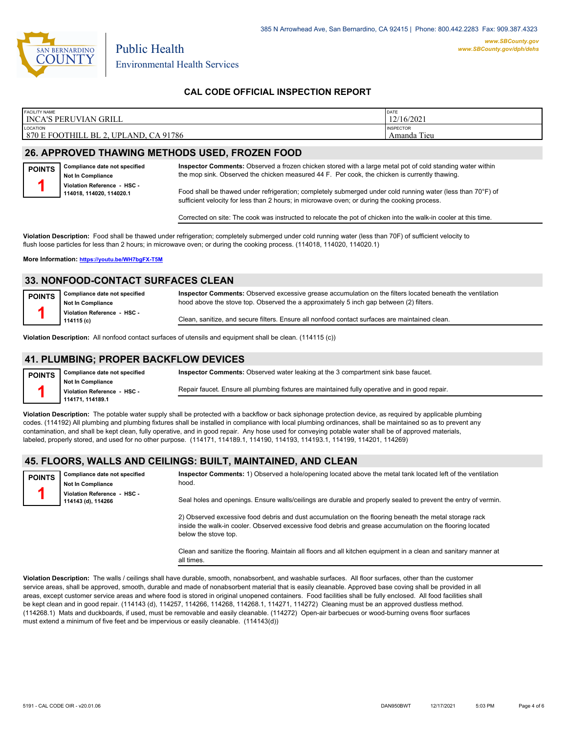

**POINTS**

P<sub>(</sub>

*www.SBCounty.gov*

## **CAL CODE OFFICIAL INSPECTION REPORT**

| <b>FACILITY NAME</b><br>DATE                         |      |
|------------------------------------------------------|------|
| 12/16/2021<br><b>INCA'S PERUVIAN GRILL</b>           |      |
| LOCATION<br><b>INSPECTOR</b>                         |      |
| 870 E FOOTHILL BL 2.<br>. UPLAND. CA 91786<br>Amanda | Tieu |

## **26. APPROVED THAWING METHODS USED, FROZEN FOOD**

Public Health

**Inspector Comments:** Observed a frozen chicken stored with a large metal pot of cold standing water within the mop sink. Observed the chicken measured 44 F. Per cook, the chicken is currently thawing.

**Not In Compliance Violation Reference - HSC - 114018, 114020, 114020.1 1**

**Compliance date not specified**

Food shall be thawed under refrigeration; completely submerged under cold running water (less than 70°F) of sufficient velocity for less than 2 hours; in microwave oven; or during the cooking process.

Corrected on site: The cook was instructed to relocate the pot of chicken into the walk-in cooler at this time.

**Violation Description:** Food shall be thawed under refrigeration; completely submerged under cold running water (less than 70F) of sufficient velocity to flush loose particles for less than 2 hours; in microwave oven; or during the cooking process. (114018, 114020, 114020.1)

**More Information: <https://youtu.be/WH7bgFX-T5M>**

## **33. NONFOOD-CONTACT SURFACES CLEAN**

| <b>DINTS</b> | Compliance date not specified<br><b>Not In Compliance</b> | Inspector Comments: Observed excessive grease accumulation on the filters located beneath the ventilation<br>hood above the stove top. Observed the a approximately 5 inch gap between (2) filters. |
|--------------|-----------------------------------------------------------|-----------------------------------------------------------------------------------------------------------------------------------------------------------------------------------------------------|
|              | Violation Reference - HSC -<br>114115 (c)                 | Clean, sanitize, and secure filters. Ensure all nonfood contact surfaces are maintained clean.                                                                                                      |

**Violation Description:** All nonfood contact surfaces of utensils and equipment shall be clean. (114115 (c))

#### **41. PLUMBING; PROPER BACKFLOW DEVICES**

| <b>POINTS</b> | Compliance date not specified | Inspector Comments: Observed water leaking at the 3 compartment sink base faucet.              |
|---------------|-------------------------------|------------------------------------------------------------------------------------------------|
|               | <b>Not In Compliance</b>      |                                                                                                |
|               | Violation Reference - HSC -   | Repair faucet. Ensure all plumbing fixtures are maintained fully operative and in good repair. |
|               | 114171, 114189.1              |                                                                                                |

**Violation Description:** The potable water supply shall be protected with a backflow or back siphonage protection device, as required by applicable plumbing codes. (114192) All plumbing and plumbing fixtures shall be installed in compliance with local plumbing ordinances, shall be maintained so as to prevent any contamination, and shall be kept clean, fully operative, and in good repair. Any hose used for conveying potable water shall be of approved materials, labeled, properly stored, and used for no other purpose. (114171, 114189.1, 114190, 114193, 114193.1, 114199, 114201, 114269)

## **45. FLOORS, WALLS AND CEILINGS: BUILT, MAINTAINED, AND CLEAN**

| <b>POINTS</b> | Compliance date not specified<br><b>Not In Compliance</b> | Inspector Comments: 1) Observed a hole/opening located above the metal tank located left of the ventilation<br>hood. |  |  |  |
|---------------|-----------------------------------------------------------|----------------------------------------------------------------------------------------------------------------------|--|--|--|
|               | Violation Reference - HSC -<br>114143 (d), 114266         | Seal holes and openings. Ensure walls/ceilings are durable and properly sealed to prevent the entry of vermin.       |  |  |  |
|               |                                                           | $\cdots$                                                                                                             |  |  |  |

2) Observed excessive food debris and dust accumulation on the flooring beneath the metal storage rack inside the walk-in cooler. Observed excessive food debris and grease accumulation on the flooring located below the stove top.

Clean and sanitize the flooring. Maintain all floors and all kitchen equipment in a clean and sanitary manner at all times.

**Violation Description:** The walls / ceilings shall have durable, smooth, nonabsorbent, and washable surfaces. All floor surfaces, other than the customer service areas, shall be approved, smooth, durable and made of nonabsorbent material that is easily cleanable. Approved base coving shall be provided in all areas, except customer service areas and where food is stored in original unopened containers. Food facilities shall be fully enclosed. All food facilities shall be kept clean and in good repair. (114143 (d), 114257, 114266, 114268, 114268.1, 114271, 114272) Cleaning must be an approved dustless method. (114268.1) Mats and duckboards, if used, must be removable and easily cleanable. (114272) Open-air barbecues or wood-burning ovens floor surfaces must extend a minimum of five feet and be impervious or easily cleanable. (114143(d))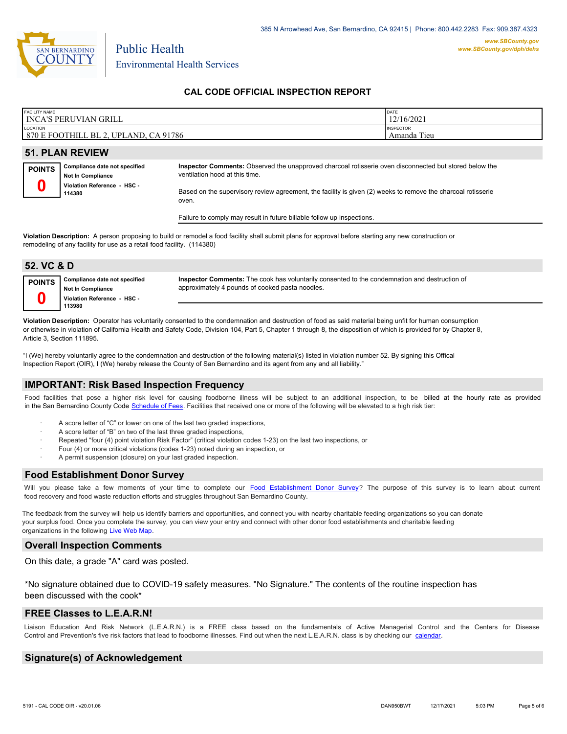

Environmental Health Services

Public Health

## **CAL CODE OFFICIAL INSPECTION REPORT**

| FACILITY NAME      | I INCA'S PERUVIAN GRILL                                                                            |                                                                                                                                                                                                                                                                   | DATE<br>12/16/2021 |  |  |
|--------------------|----------------------------------------------------------------------------------------------------|-------------------------------------------------------------------------------------------------------------------------------------------------------------------------------------------------------------------------------------------------------------------|--------------------|--|--|
| LOCATION           | 870 E FOOTHILL BL 2, UPLAND, CA 91786                                                              | <b>INSPECTOR</b><br>Amanda Tieu                                                                                                                                                                                                                                   |                    |  |  |
|                    | <b>51. PLAN REVIEW</b>                                                                             |                                                                                                                                                                                                                                                                   |                    |  |  |
| <b>POINTS</b><br>u | Compliance date not specified<br><b>Not In Compliance</b><br>Violation Reference - HSC -<br>114380 | Inspector Comments: Observed the unapproved charcoal rotisserie oven disconnected but stored below the<br>ventilation hood at this time.<br>Based on the supervisory review agreement, the facility is given (2) weeks to remove the charcoal rotisserie<br>oven. |                    |  |  |
|                    | Failure to comply may result in future billable follow up inspections.                             |                                                                                                                                                                                                                                                                   |                    |  |  |
|                    |                                                                                                    |                                                                                                                                                                                                                                                                   |                    |  |  |

**Violation Description:** A person proposing to build or remodel a food facility shall submit plans for approval before starting any new construction or remodeling of any facility for use as a retail food facility. (114380)

| 52. VC & D    |                                                                                          |                                                                                                                                                          |
|---------------|------------------------------------------------------------------------------------------|----------------------------------------------------------------------------------------------------------------------------------------------------------|
| <b>POINTS</b> | Compliance date not specified<br><b>Not In Compliance</b><br>Violation Reference - HSC - | Inspector Comments: The cook has voluntarily consented to the condemnation and destruction of<br>approximately 4 pounds of cooked pasta noodles.         |
|               | 113980                                                                                   |                                                                                                                                                          |
|               |                                                                                          | Violation Description: Operator has voluntarily consented to the condemnation and destruction of food as said material being unfit for human consumption |

or otherwise in violation of California Health and Safety Code, Division 104, Part 5, Chapter 1 through 8, the disposition of which is provided for by Chapter 8, Article 3, Section 111895.

"I (We) hereby voluntarily agree to the condemnation and destruction of the following material(s) listed in violation number 52. By signing this Offical Inspection Report (OIR), I (We) hereby release the County of San Bernardino and its agent from any and all liability."

## **IMPORTANT: Risk Based Inspection Frequency**

Food facilities that pose a higher risk level for causing foodborne illness will be subject to an additional inspection, to be billed at the hourly rate as provided in the San Bernardino Count[y Code Schedule of Fees. Facilitie](https://codelibrary.amlegal.com/codes/sanbernardino/latest/sanberncty_ca/0-0-0-122474#JD_16.0213B)s that received one or more of the following will be elevated to a high risk tier:

- A score letter of "C" or lower on one of the last two graded inspections,
- A score letter of "B" on two of the last three graded inspections,
- Repeated "four (4) point violation Risk Factor" (critical violation codes 1-23) on the last two inspections, or
- · Four (4) or more critical violations (codes 1-23) noted during an inspection, or
- A permit suspension (closure) on your last graded inspection.

#### **Food Establishment Donor Survey**

Will you please take a few moments of your time to co[mplete our Food Establishment Donor Survey?](https://survey123.arcgis.com/share/626bb0fb21674c82832b0c0d557c5e80?field:faid=FA0009978&field:facility_name=INCA) The purpose of this survey is to learn about current food recovery and food waste reduction efforts and struggles throughout San Bernardino County.

The feedback from the survey will help us identify barriers and opportunities, and connect you with nearby charitable feeding organizations so you can donate your surplus food. Once you complete the survey, you can view your entry and connect with other donor food establishments and charitable feeding organizations in the fol[lowing Live Web Map.](https://arcg.is/WvjGb)

## **Overall Inspection Comments**

On this date, a grade "A" card was posted.

\*No signature obtained due to COVID-19 safety measures. "No Signature." The contents of the routine inspection has been discussed with the cook\*

#### **FREE Classes to L.E.A.R.N!**

Liaison Education And Risk Network (L.E.A.R.N.) is a FREE class based on the fundamentals of Active Managerial Control and the Centers for Disease Control and Prevention's five risk factors that lead to foodborne illnesses. Find out when the next L.E.A.R.N. class is by checking our [calendar.](http://wp.sbcounty.gov/dph/events/)

## **Signature(s) of Acknowledgement**